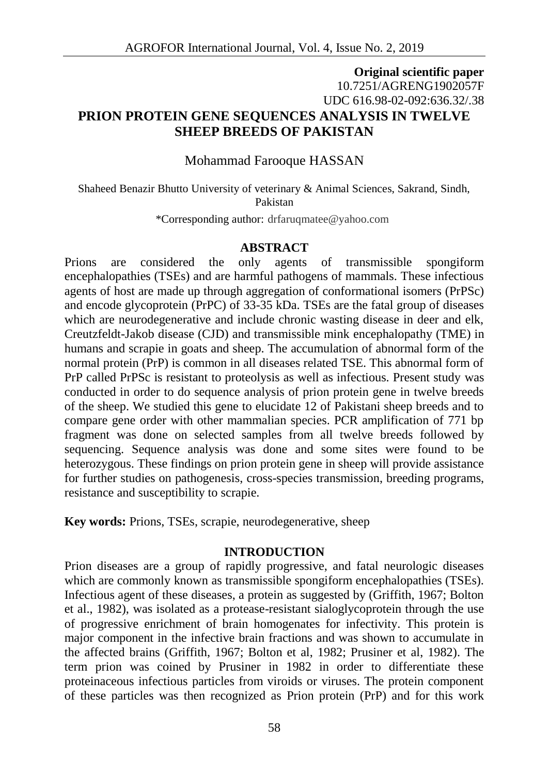## **Original scientific paper** 10.7251/AGRENG1902057F UDC 616.98-02-092:636.32/.38 **PRION PROTEIN GENE SEQUENCES ANALYSIS IN TWELVE SHEEP BREEDS OF PAKISTAN**

Mohammad Farooque HASSAN

Shaheed Benazir Bhutto University of veterinary & Animal Sciences, Sakrand, Sindh, Pakistan

\*Corresponding author: drfaruqmatee@yahoo.com

#### **ABSTRACT**

Prions are considered the only agents of transmissible spongiform encephalopathies (TSEs) and are harmful pathogens of mammals. These infectious agents of host are made up through aggregation of conformational isomers (PrPSc) and encode glycoprotein (PrPC) of 33-35 kDa. TSEs are the fatal group of diseases which are neurodegenerative and include chronic wasting disease in deer and elk, Creutzfeldt-Jakob disease (CJD) and transmissible mink encephalopathy (TME) in humans and scrapie in goats and sheep. The accumulation of abnormal form of the normal protein (PrP) is common in all diseases related TSE. This abnormal form of PrP called PrPSc is resistant to proteolysis as well as infectious. Present study was conducted in order to do sequence analysis of prion protein gene in twelve breeds of the sheep. We studied this gene to elucidate 12 of Pakistani sheep breeds and to compare gene order with other mammalian species. PCR amplification of 771 bp fragment was done on selected samples from all twelve breeds followed by sequencing. Sequence analysis was done and some sites were found to be heterozygous. These findings on prion protein gene in sheep will provide assistance for further studies on pathogenesis, cross-species transmission, breeding programs, resistance and susceptibility to scrapie.

**Key words:** Prions, TSEs, scrapie, neurodegenerative, sheep

#### **INTRODUCTION**

Prion diseases are a group of rapidly progressive, and fatal neurologic diseases which are commonly known as transmissible spongiform encephalopathies (TSEs). Infectious agent of these diseases, a protein as suggested by (Griffith, 1967; Bolton et al., 1982), was isolated as a protease-resistant sialoglycoprotein through the use of progressive enrichment of brain homogenates for infectivity. This protein is major component in the infective brain fractions and was shown to accumulate in the affected brains (Griffith, 1967; Bolton et al, 1982; Prusiner et al, 1982). The term prion was coined by Prusiner in 1982 in order to differentiate these proteinaceous infectious particles from viroids or viruses. The protein component of these particles was then recognized as Prion protein (PrP) and for this work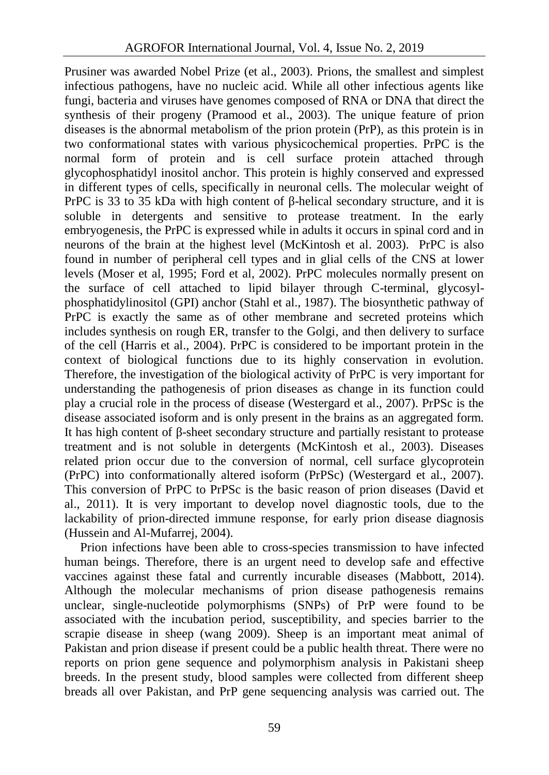Prusiner was awarded Nobel Prize (et al., 2003). Prions, the smallest and simplest infectious pathogens, have no nucleic acid. While all other infectious agents like fungi, bacteria and viruses have genomes composed of RNA or DNA that direct the synthesis of their progeny (Pramood et al., 2003). The unique feature of prion diseases is the abnormal metabolism of the prion protein (PrP), as this protein is in two conformational states with various physicochemical properties. PrPC is the normal form of protein and is cell surface protein attached through glycophosphatidyl inositol anchor. This protein is highly conserved and expressed in different types of cells, specifically in neuronal cells. The molecular weight of PrPC is 33 to 35 kDa with high content of -helical secondary structure, and it is soluble in detergents and sensitive to protease treatment. In the early embryogenesis, the PrPC is expressed while in adults it occurs in spinal cord and in neurons of the brain at the highest level (McKintosh et al. 2003). PrPC is also found in number of peripheral cell types and in glial cells of the CNS at lower levels (Moser et al, 1995; Ford et al, 2002). PrPC molecules normally present on the surface of cell attached to lipid bilayer through C-terminal, glycosyl phosphatidylinositol (GPI) anchor (Stahl et al., 1987). The biosynthetic pathway of PrPC is exactly the same as of other membrane and secreted proteins which includes synthesis on rough ER, transfer to the Golgi, and then delivery to surface of the cell (Harris et al., 2004). PrPC is considered to be important protein in the context of biological functions due to its highly conservation in evolution. Therefore, the investigation of the biological activity of PrPC is very important for understanding the pathogenesis of prion diseases as change in its function could play a crucial role in the process of disease (Westergard et al., 2007). PrPSc is the disease associated isoform and is only present in the brains as an aggregated form. It has high content of -sheet secondary structure and partially resistant to protease treatment and is not soluble in detergents (McKintosh et al., 2003). Diseases related prion occur due to the conversion of normal, cell surface glycoprotein (PrPC) into conformationally altered isoform (PrPSc) (Westergard et al., 2007). This conversion of PrPC to PrPSc is the basic reason of prion diseases (David et al., 2011). It is very important to develop novel diagnostic tools, due to the lackability of prion-directed immune response, for early prion disease diagnosis (Hussein and Al-Mufarrej, 2004).

Prion infections have been able to cross-species transmission to have infected human beings. Therefore, there is an urgent need to develop safe and effective vaccines against these fatal and currently incurable diseases (Mabbott, 2014). Although the molecular mechanisms of prion disease pathogenesis remains unclear, single-nucleotide polymorphisms (SNPs) of PrP were found to be associated with the incubation period, susceptibility, and species barrier to the scrapie disease in sheep (wang 2009). Sheep is an important meat animal of Pakistan and prion disease if present could be a public health threat. There were no reports on prion gene sequence and polymorphism analysis in Pakistani sheep breeds. In the present study, blood samples were collected from different sheep breads all over Pakistan, and PrP gene sequencing analysis was carried out. The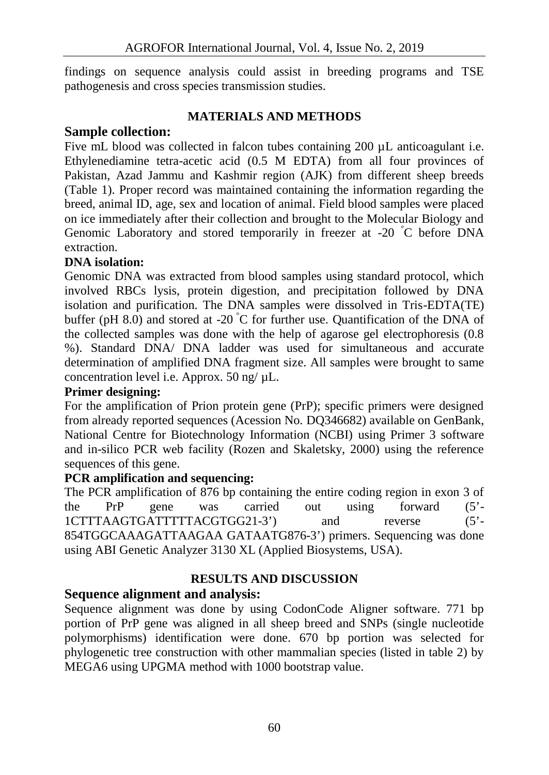findings on sequence analysis could assist in breeding programs and TSE pathogenesis and cross species transmission studies.

### **MATERIALS AND METHODS**

## **Sample collection:**

Five mL blood was collected in falcon tubes containing 200 uL anticoagulant *i.e.* Ethylenediamine tetra-acetic acid (0.5 M EDTA) from all four provinces of Pakistan, Azad Jammu and Kashmir region (AJK) from different sheep breeds (Table 1). Proper record was maintained containing the information regarding the breed, animal ID, age, sex and location of animal. Field blood samples were placed on ice immediately after their collection and brought to the Molecular Biology and Genomic Laboratory and stored temporarily in freezer at -20 °C before DNA extraction.

## **DNA isolation:**

Genomic DNA was extracted from blood samples using standard protocol, which involved RBCs lysis, protein digestion, and precipitation followed by DNA isolation and purification. The DNA samples were dissolved in Tris-EDTA(TE) buffer (pH 8.0) and stored at -20  $\degree$ C for further use. Quantification of the DNA of the collected samples was done with the help of agarose gel electrophoresis (0.8 %). Standard DNA/ DNA ladder was used for simultaneous and accurate determination of amplified DNA fragment size. All samples were brought to same concentration level i.e. Approx. 50 ng/ µL.

### **Primer designing:**

For the amplification of Prion protein gene (PrP); specific primers were designed from already reported sequences (Acession No. DQ346682) available on GenBank, National Centre for Biotechnology Information (NCBI) using Primer 3 software and in-silico PCR web facility (Rozen and Skaletsky, 2000) using the reference sequences of this gene.

### **PCR amplification and sequencing:**

The PCR amplification of 876 bp containing the entire coding region in exon 3 of the PrP gene was carried out using forward (5'- 1CTTTAAGTGATTTTTACGTGG21-3') and reverse (5'- 854TGGCAAAGATTAAGAA GATAATG876-3') primers. Sequencing was done using ABI Genetic Analyzer 3130 XL (Applied Biosystems, USA).

### **RESULTS AND DISCUSSION**

# **Sequence alignment and analysis:**

Sequence alignment was done by using CodonCode Aligner software. 771 bp portion of PrP gene was aligned in all sheep breed and SNPs (single nucleotide polymorphisms) identification were done. 670 bp portion was selected for phylogenetic tree construction with other mammalian species (listed in table 2) by MEGA6 using UPGMA method with 1000 bootstrap value.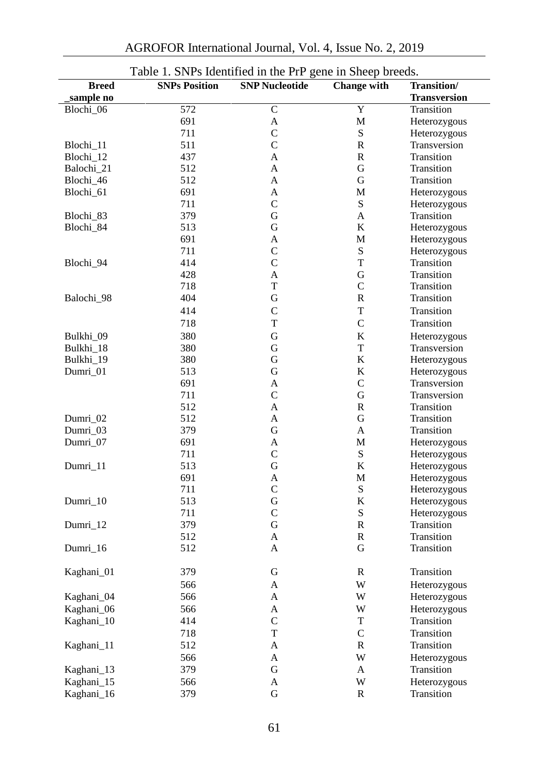|                           | Table 1. SNPs Identified in the PrP gene in Sheep breeds. |                       |                    |                                    |
|---------------------------|-----------------------------------------------------------|-----------------------|--------------------|------------------------------------|
| <b>Breed</b><br>sample no | <b>SNPs Position</b>                                      | <b>SNP Nucleotide</b> | <b>Change with</b> | Transition/<br><b>Transversion</b> |
| Blochi_06                 | 572                                                       | ${\bf C}$             | Y                  | Transition                         |
|                           | 691                                                       | A                     | M                  | Heterozygous                       |
|                           | 711                                                       | $\mathsf{C}$          | ${\bf S}$          | Heterozygous                       |
| Blochi_11                 | 511                                                       | $\mathsf{C}$          | R                  | Transversion                       |
| Blochi_12                 | 437                                                       | A                     | $\mathbb{R}$       | Transition                         |
| Balochi_21                | 512                                                       | A                     | $\mathbf G$        | Transition                         |
| Blochi_46                 | 512                                                       | A                     | $\mathbf G$        | Transition                         |
| Blochi 61                 | 691                                                       | A                     | M                  | Heterozygous                       |
|                           | 711                                                       | $\mathsf{C}$          | ${\bf S}$          | Heterozygous                       |
| Blochi_83                 | 379                                                       | G                     | A                  | Transition                         |
| Blochi_84                 | 513                                                       | G                     | K                  | Heterozygous                       |
|                           | 691                                                       | A                     | M                  | Heterozygous                       |
|                           | 711                                                       | $\mathsf{C}$          | ${\bf S}$          | Heterozygous                       |
| Blochi_94                 | 414                                                       | $\mathbf C$           | T                  | Transition                         |
|                           | 428                                                       | A                     | G                  | Transition                         |
|                           | 718                                                       | T                     | $\mathsf{C}$       | Transition                         |
| Balochi_98                | 404                                                       | G                     | $\mathbf R$        | Transition                         |
|                           | 414                                                       | $\mathsf{C}$          | T                  | Transition                         |
|                           | 718                                                       | T                     | $\mathcal{C}$      | Transition                         |
| Bulkhi 09                 | 380                                                       | G                     | K                  | Heterozygous                       |
| Bulkhi_18                 | 380                                                       | G                     | T                  | Transversion                       |
| Bulkhi_19                 | 380                                                       | G                     | K                  | Heterozygous                       |
| Dumri_01                  | 513                                                       | G                     | K                  | Heterozygous                       |
|                           | 691                                                       | A                     | $\mathsf{C}$       | Transversion                       |
|                           | 711                                                       | $\mathsf{C}$          | G                  | Transversion                       |
|                           | 512                                                       | A                     | $\mathbb{R}$       | Transition                         |
| Dumri_02                  | 512                                                       | A                     | G                  | Transition                         |
| Dumri_03                  | 379                                                       | G                     | A                  | Transition                         |
| Dumri_07                  | 691                                                       | A                     | M                  | Heterozygous                       |
|                           | 711                                                       | $\mathsf{C}$          | ${\bf S}$          | Heterozygous                       |
| Dumri_11                  | 513                                                       | G                     | K                  | Heterozygous                       |
|                           | 691                                                       | A                     | M                  | Heterozygous                       |
|                           | 711                                                       | $\mathsf{C}$          | ${\bf S}$          | Heterozygous                       |
| Dumri_10                  | 513                                                       | G                     | K                  | Heterozygous                       |
|                           | 711                                                       | $\mathsf{C}$          | ${\bf S}$          | Heterozygous                       |
| Dumri_12                  | 379                                                       | G                     | $\mathbb{R}$       | Transition                         |
|                           | 512                                                       | A                     | $\mathbb{R}$       | Transition                         |
| Dumri_16                  | 512                                                       | A                     | G                  | Transition                         |
|                           |                                                           |                       |                    |                                    |
| Kaghani_01                | 379                                                       | G                     | $\mathbb{R}$       | Transition                         |
|                           | 566                                                       | A                     | W                  | Heterozygous                       |
| Kaghani_04                | 566                                                       | $\mathbf A$           | W                  | Heterozygous                       |
| Kaghani_06                | 566                                                       | A                     | W                  | Heterozygous                       |
| Kaghani_10                | 414                                                       | ${\bf C}$             | T                  | Transition                         |
|                           | 718                                                       | $\mathbf T$           | $\mathsf C$        | Transition                         |
| Kaghani_11                | 512                                                       | $\mathbf A$           | R                  | Transition                         |
|                           | 566                                                       | $\mathbf A$           | W                  | Heterozygous                       |
| Kaghani_13                | 379                                                       | ${\bf G}$             | A                  | Transition                         |
| Kaghani_15                | 566                                                       | A                     | W                  | Heterozygous                       |
| Kaghani_16                | 379                                                       | ${\bf G}$             | ${\bf R}$          | Transition                         |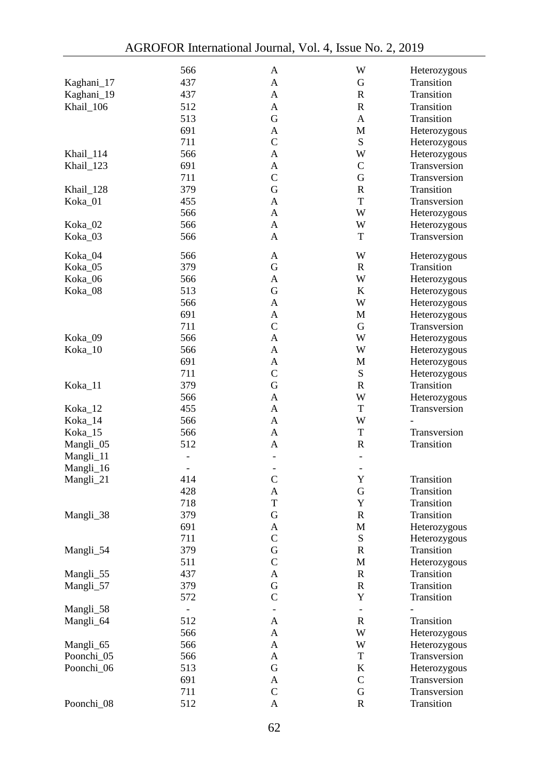|            | 566            | A                        | W                        | Heterozygous |
|------------|----------------|--------------------------|--------------------------|--------------|
| Kaghani_17 | 437            | A                        | G                        | Transition   |
| Kaghani_19 | 437            | A                        | R                        | Transition   |
|            |                |                          |                          |              |
| Khail 106  | 512            | Α                        | R                        | Transition   |
|            | 513            | G                        | A                        | Transition   |
|            | 691            | A                        | M                        | Heterozygous |
|            | 711            | $\mathcal{C}$            | ${\bf S}$                | Heterozygous |
| Khail 114  | 566            | A                        | W                        | Heterozygous |
| Khail_123  | 691            | Α                        | $\mathsf{C}$             | Transversion |
|            | 711            | C                        | $\mathbf G$              | Transversion |
| Khail_128  | 379            | G                        | R                        | Transition   |
| Koka_01    | 455            | Α                        | T                        | Transversion |
|            | 566            | Α                        | W                        | Heterozygous |
| Koka_02    | 566            | A                        | W                        | Heterozygous |
| Koka_03    | 566            | Α                        | T                        | Transversion |
|            |                |                          |                          |              |
| Koka_04    | 566            | Α                        | W                        | Heterozygous |
| Koka_05    | 379            | G                        | $\mathbb{R}$             | Transition   |
| Koka_06    | 566            | A                        | W                        | Heterozygous |
| Koka_08    | 513            | G                        | K                        | Heterozygous |
|            | 566            | Α                        | W                        | Heterozygous |
|            | 691            | A                        | M                        | Heterozygous |
|            | 711            | $\mathsf{C}$             | G                        | Transversion |
|            | 566            |                          | W                        |              |
| Koka_09    |                | Α                        |                          | Heterozygous |
| Koka_10    | 566            | Α                        | W                        | Heterozygous |
|            | 691            | Α                        | M                        | Heterozygous |
|            | 711            | $\mathsf{C}$             | ${\bf S}$                | Heterozygous |
| Koka_11    | 379            | G                        | R                        | Transition   |
|            | 566            | A                        | W                        | Heterozygous |
| Koka_12    | 455            | A                        | T                        | Transversion |
| Koka_14    | 566            | Α                        | W                        |              |
| Koka 15    | 566            | Α                        | T                        | Transversion |
| Mangli_05  | 512            | Α                        | R                        | Transition   |
| Mangli_11  | $\blacksquare$ | $\overline{\phantom{a}}$ | $\overline{\phantom{0}}$ |              |
| Mangli_16  |                | -                        | $\overline{\phantom{0}}$ |              |
| Mangli_21  | 414            | $\mathsf{C}$             | Y                        | Transition   |
|            | 428            | Α                        | $\mathbf G$              | Transition   |
|            | 718            | T                        | Y                        | Transition   |
|            | 379            | G                        | R                        | Transition   |
| Mangli_38  |                |                          |                          |              |
|            | 691            | A                        | M                        | Heterozygous |
|            | 711            | $\mathsf{C}$             | ${\bf S}$                | Heterozygous |
| Mangli_54  | 379            | G                        | R                        | Transition   |
|            | 511            | $\mathsf{C}$             | M                        | Heterozygous |
| Mangli_55  | 437            | A                        | ${\mathbb R}$            | Transition   |
| Mangli_57  | 379            | G                        | R                        | Transition   |
|            | 572            | $\mathcal{C}$            | Y                        | Transition   |
| Mangli_58  | $\blacksquare$ | $\overline{\phantom{a}}$ | $\overline{\phantom{0}}$ |              |
| Mangli_64  | 512            | A                        | R                        | Transition   |
|            | 566            | A                        | W                        | Heterozygous |
| Mangli_65  | 566            | Α                        | W                        | Heterozygous |
| Poonchi_05 | 566            | A                        | T                        | Transversion |
| Poonchi_06 | 513            | $\mathbf G$              | K                        | Heterozygous |
|            | 691            | A                        | $\mathsf{C}$             | Transversion |
|            | 711            | $\mathbf C$              | ${\bf G}$                | Transversion |
|            |                |                          |                          |              |
| Poonchi_08 | 512            | A                        | $\mathbf R$              | Transition   |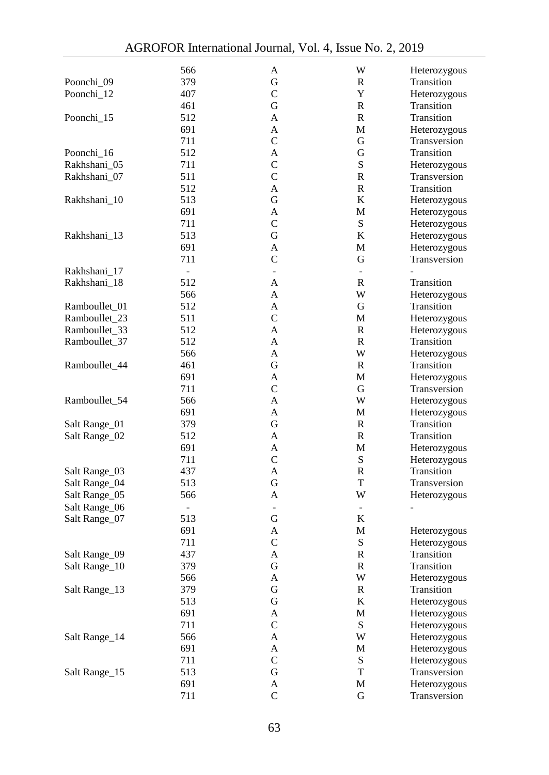|               | 566                      | A                        | W                        | Heterozygous               |
|---------------|--------------------------|--------------------------|--------------------------|----------------------------|
| Poonchi_09    | 379                      | G                        | R                        | Transition                 |
| Poonchi_12    | 407                      | $\mathcal{C}$            | Y                        | Heterozygous               |
|               |                          |                          |                          |                            |
|               | 461                      | G                        | R                        | Transition                 |
| Poonchi_15    | 512                      | A                        | R                        | Transition                 |
|               | 691                      | A                        | М                        | Heterozygous               |
|               | 711                      | C                        | G                        | Transversion               |
| Poonchi_16    | 512                      | A                        | G                        | Transition                 |
| Rakhshani_05  | 711                      | $\mathcal{C}$            | S                        | Heterozygous               |
| Rakhshani_07  | 511                      | $\mathcal{C}$            | R                        | Transversion               |
|               | 512                      | A                        | R                        | Transition                 |
| Rakhshani_10  | 513                      | G                        | K                        | Heterozygous               |
|               | 691                      | A                        | M                        | Heterozygous               |
|               | 711                      | C                        | ${\bf S}$                | Heterozygous               |
| Rakhshani_13  | 513                      | G                        | K                        | Heterozygous               |
|               | 691                      | A                        | М                        | Heterozygous               |
|               | 711                      | $\mathsf{C}$             | G                        | Transversion               |
| Rakhshani_17  | $\overline{\phantom{a}}$ | $\overline{\phantom{a}}$ | $\overline{\phantom{0}}$ |                            |
| Rakhshani_18  | 512                      | A                        | R                        | Transition                 |
|               | 566                      |                          | W                        |                            |
|               |                          | A                        |                          | Heterozygous<br>Transition |
| Ramboullet_01 | 512                      | Α                        | G                        |                            |
| Ramboullet 23 | 511                      | $\mathcal{C}$            | М                        | Heterozygous               |
| Ramboullet 33 | 512                      | Α                        | R                        | Heterozygous               |
| Ramboullet_37 | 512                      | A                        | R                        | Transition                 |
|               | 566                      | Α                        | W                        | Heterozygous               |
| Ramboullet_44 | 461                      | G                        | R                        | Transition                 |
|               | 691                      | A                        | М                        | Heterozygous               |
|               | 711                      | $\mathsf{C}$             | G                        | Transversion               |
| Ramboullet_54 | 566                      | Α                        | W                        | Heterozygous               |
|               | 691                      | A                        | М                        | Heterozygous               |
| Salt Range_01 | 379                      | G                        | R                        | Transition                 |
| Salt Range_02 | 512                      | A                        | R                        | Transition                 |
|               | 691                      | A                        | M                        | Heterozygous               |
|               | 711                      | C                        | S                        | Heterozygous               |
| Salt Range_03 | 437                      | A                        | R                        | Transition                 |
| Salt Range_04 | 513                      | G                        | T                        | Transversion               |
| Salt Range_05 | 566                      | A                        | W                        | Heterozygous               |
|               |                          |                          |                          |                            |
| Salt Range_06 | $\overline{\phantom{a}}$ | $\overline{\phantom{a}}$ | $\overline{\phantom{0}}$ | $\overline{\phantom{0}}$   |
| Salt Range_07 | 513                      | G                        | K                        |                            |
|               | 691                      | Α                        | M                        | Heterozygous               |
|               | 711                      | C                        | S                        | Heterozygous               |
| Salt Range_09 | 437                      | Α                        | R                        | Transition                 |
| Salt Range_10 | 379                      | G                        | $\mathbb{R}$             | Transition                 |
|               | 566                      | A                        | W                        | Heterozygous               |
| Salt Range_13 | 379                      | G                        | R                        | Transition                 |
|               | 513                      | $\mathbf G$              | K                        | Heterozygous               |
|               | 691                      | A                        | M                        | Heterozygous               |
|               | 711                      | $\mathsf{C}$             | S                        | Heterozygous               |
| Salt Range_14 | 566                      | A                        | W                        | Heterozygous               |
|               | 691                      | A                        | М                        | Heterozygous               |
|               | 711                      | $\mathsf{C}$             | S                        | Heterozygous               |
| Salt Range_15 | 513                      | G                        | T                        | Transversion               |
|               | 691                      | A                        | M                        | Heterozygous               |
|               | 711                      | $\mathsf C$              | ${\bf G}$                | Transversion               |
|               |                          |                          |                          |                            |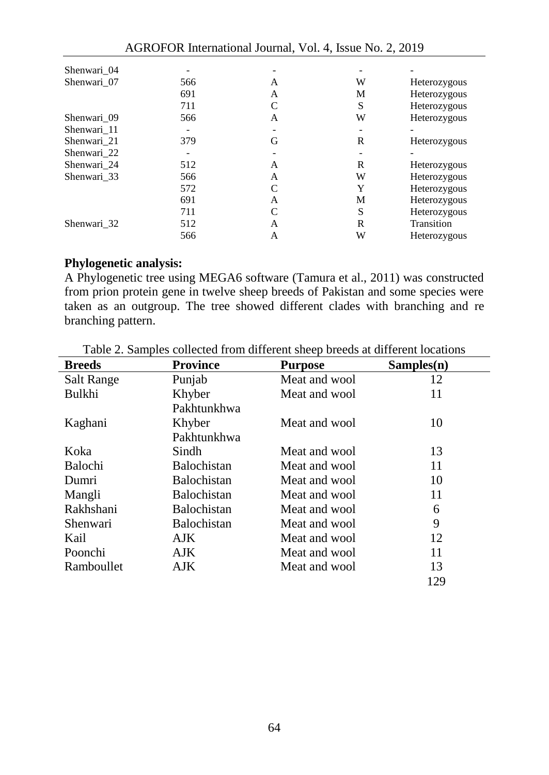| 566 | А | W | Heterozygous |
|-----|---|---|--------------|
| 691 | A | М | Heterozygous |
| 711 | C | S | Heterozygous |
| 566 | A | W | Heterozygous |
|     |   |   |              |
| 379 | G | R | Heterozygous |
|     |   |   |              |
| 512 | A | R | Heterozygous |
| 566 | A | W | Heterozygous |
| 572 | C | Y | Heterozygous |
| 691 | A | М | Heterozygous |
| 711 | C | S | Heterozygous |
| 512 | A | R | Transition   |
| 566 | A | W | Heterozygous |
|     |   |   |              |

#### **Phylogenetic analysis:**

A Phylogenetic tree using MEGA6 software (Tamura et al., 2011) was constructed from prion protein gene in twelve sheep breeds of Pakistan and some species were taken as an outgroup. The tree showed different clades with branching and re branching pattern.

| <b>Breeds</b>  | <b>Province</b>    | <b>Purpose</b> | Samples(n) |
|----------------|--------------------|----------------|------------|
| Salt Range     | Punjab             | Meat and wool  | 12         |
| Bulkhi         | Khyber             | Meat and wool  | 11         |
|                | Pakhtunkhwa        |                |            |
| Kaghani        | Khyber             | Meat and wool  | 10         |
|                | Pakhtunkhwa        |                |            |
| Koka           | Sindh              | Meat and wool  | 13         |
| <b>Balochi</b> | <b>Balochistan</b> | Meat and wool  | 11         |
| Dumri          | <b>Balochistan</b> | Meat and wool  | 10         |
| Mangli         | <b>Balochistan</b> | Meat and wool  | 11         |
| Rakhshani      | <b>Balochistan</b> | Meat and wool  | 6          |
| Shenwari       | <b>Balochistan</b> | Meat and wool  | 9          |
| Kail           | AJK                | Meat and wool  | 12         |
| Poonchi        | AJK.               | Meat and wool  | 11         |
| Ramboullet     | AJK                | Meat and wool  | 13         |
|                |                    |                | 129        |

Table 2. Samples collected from different sheep breeds at different locations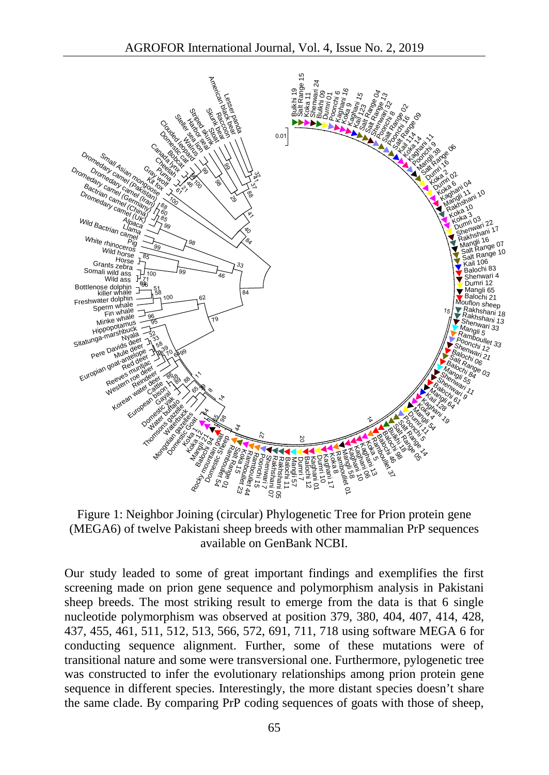

Figure 1: Neighbor Joining (circular) Phylogenetic Tree for Prion protein gene (MEGA6) of twelve Pakistani sheep breeds with other mammalian PrP sequences available on GenBank NCBI.

Our study leaded to some of great important findings and exemplifies the first screening made on prion gene sequence and polymorphism analysis in Pakistani sheep breeds. The most striking result to emerge from the data is that 6 single nucleotide polymorphism was observed at position 379, 380, 404, 407, 414, 428, 437, 455, 461, 511, 512, 513, 566, 572, 691, 711, 718 using software MEGA 6 for conducting sequence alignment. Further, some of these mutations were of transitional nature and some were transversional one. Furthermore, pylogenetic tree was constructed to infer the evolutionary relationships among prion protein gene sequence in different species. Interestingly, the more distant species doesn't share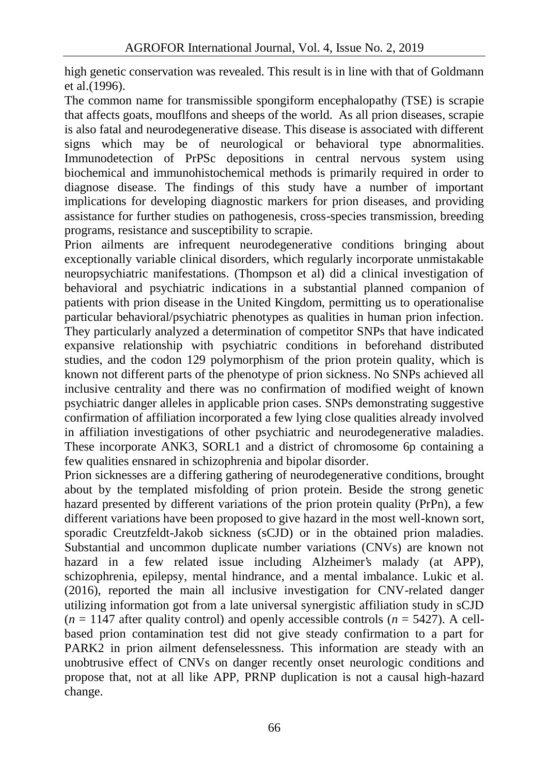high genetic conservation was revealed. This result is in line with that of Goldmann et al.(1996).

The common name for transmissible spongiform encephalopathy (TSE) is scrapie that affects goats, mouflfons and sheeps of the world. As all prion diseases, scrapie is also fatal and neurodegenerative disease. This disease is associated with different signs which may be of neurological or behavioral type abnormalities. Immunodetection of PrPSc depositions in central nervous system using biochemical and immunohistochemical methods is primarily required in order to diagnose disease. The findings of this study have a number of important implications for developing diagnostic markers for prion diseases, and providing assistance for further studies on pathogenesis, cross-species transmission, breeding programs, resistance and susceptibility to scrapie.

Prion ailments are infrequent neurodegenerative conditions bringing about exceptionally variable clinical disorders, which regularly incorporate unmistakable neuropsychiatric manifestations. (Thompson et al) did a clinical investigation of behavioral and psychiatric indications in a substantial planned companion of patients with prion disease in the United Kingdom, permitting us to operationalise particular behavioral/psychiatric phenotypes as qualities in human prion infection. They particularly analyzed a determination of competitor SNPs that have indicated expansive relationship with psychiatric conditions in beforehand distributed studies, and the codon 129 polymorphism of the prion protein quality, which is known not different parts of the phenotype of prion sickness. No SNPs achieved all inclusive centrality and there was no confirmation of modified weight of known psychiatric danger alleles in applicable prion cases. SNPs demonstrating suggestive confirmation of affiliation incorporated a few lying close qualities already involved in affiliation investigations of other psychiatric and neurodegenerative maladies. These incorporate ANK3, SORL1 and a district of chromosome 6p containing a few qualities ensnared in schizophrenia and bipolar disorder.

Prion sicknesses are a differing gathering of neurodegenerative conditions, brought about by the templated misfolding of prion protein. Beside the strong genetic hazard presented by different variations of the prion protein quality (PrPn), a few different variations have been proposed to give hazard in the most well-known sort, sporadic Creutzfeldt-Jakob sickness (sCJD) or in the obtained prion maladies. Substantial and uncommon duplicate number variations (CNVs) are known not hazard in a few related issue including Alzheimer's malady (at APP), schizophrenia, epilepsy, mental hindrance, and a mental imbalance. Lukic et al. (2016), reported the main all inclusive investigation for CNV-related danger utilizing information got from a late universal synergistic affiliation study in sCJD  $(n = 1147$  after quality control) and openly accessible controls  $(n = 5427)$ . A cellbased prion contamination test did not give steady confirmation to a part for PARK2 in prion ailment defenselessness. This information are steady with an unobtrusive effect of CNVs on danger recently onset neurologic conditions and propose that, not at all like APP, PRNP duplication is not a causal high-hazard change.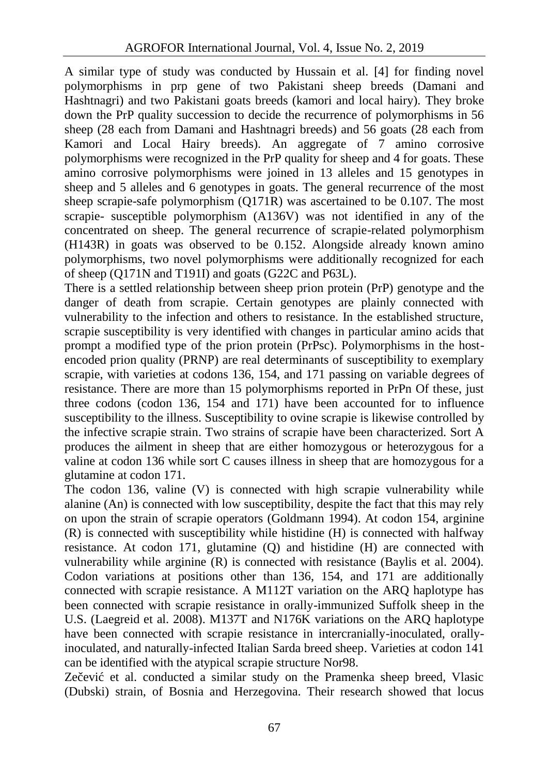A similar type of study was conducted by Hussain et al. [4] for finding novel polymorphisms in prp gene of two Pakistani sheep breeds (Damani and Hashtnagri) and two Pakistani goats breeds (kamori and local hairy). They broke down the PrP quality succession to decide the recurrence of polymorphisms in 56 sheep (28 each from Damani and Hashtnagri breeds) and 56 goats (28 each from Kamori and Local Hairy breeds). An aggregate of 7 amino corrosive polymorphisms were recognized in the PrP quality for sheep and 4 for goats. These amino corrosive polymorphisms were joined in 13 alleles and 15 genotypes in sheep and 5 alleles and 6 genotypes in goats. The general recurrence of the most sheep scrapie-safe polymorphism (Q171R) was ascertained to be 0.107. The most scrapie- susceptible polymorphism (A136V) was not identified in any of the concentrated on sheep. The general recurrence of scrapie-related polymorphism (H143R) in goats was observed to be 0.152. Alongside already known amino polymorphisms, two novel polymorphisms were additionally recognized for each of sheep (Q171N and T191I) and goats (G22C and P63L).

There is a settled relationship between sheep prion protein (PrP) genotype and the danger of death from scrapie. Certain genotypes are plainly connected with vulnerability to the infection and others to resistance. In the established structure, scrapie susceptibility is very identified with changes in particular amino acids that prompt a modified type of the prion protein (PrPsc). Polymorphisms in the host encoded prion quality (PRNP) are real determinants of susceptibility to exemplary scrapie, with varieties at codons 136, 154, and 171 passing on variable degrees of resistance. There are more than 15 polymorphisms reported in PrPn Of these, just three codons (codon 136, 154 and 171) have been accounted for to influence susceptibility to the illness. Susceptibility to ovine scrapie is likewise controlled by the infective scrapie strain. Two strains of scrapie have been characterized. Sort A produces the ailment in sheep that are either homozygous or heterozygous for a valine at codon 136 while sort C causes illness in sheep that are homozygous for a glutamine at codon 171.

The codon 136, valine (V) is connected with high scrapie vulnerability while alanine (An) is connected with low susceptibility, despite the fact that this may rely on upon the strain of scrapie operators (Goldmann 1994). At codon 154, arginine (R) is connected with susceptibility while histidine (H) is connected with halfway resistance. At codon 171, glutamine (Q) and histidine (H) are connected with vulnerability while arginine (R) is connected with resistance (Baylis et al. 2004). Codon variations at positions other than 136, 154, and 171 are additionally connected with scrapie resistance. A M112T variation on the ARQ haplotype has been connected with scrapie resistance in orally-immunized Suffolk sheep in the U.S. (Laegreid et al. 2008). M137T and N176K variations on the ARQ haplotype have been connected with scrapie resistance in intercranially-inoculated, orallyinoculated, and naturally-infected Italian Sarda breed sheep. Varieties at codon 141 can be identified with the atypical scrapie structure Nor98.

Ze evi et al. conducted a similar study on the Pramenka sheep breed, Vlasic (Dubski) strain, of Bosnia and Herzegovina. Their research showed that locus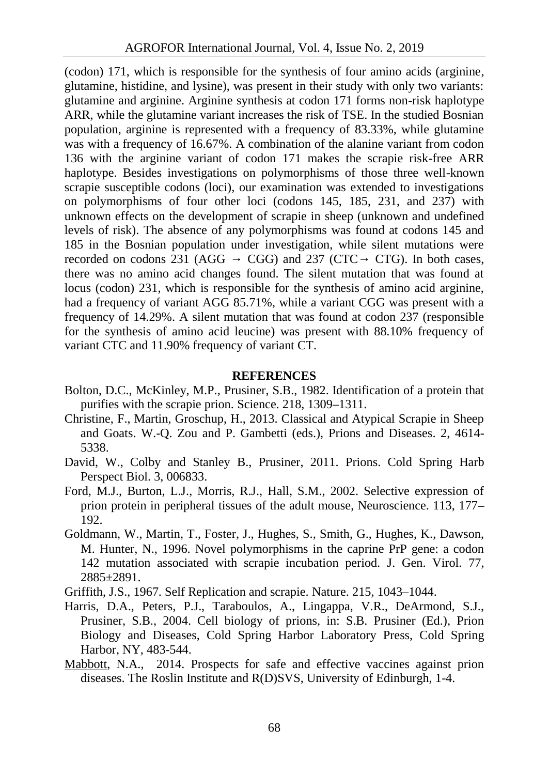(codon) 171, which is responsible for the synthesis of four amino acids (arginine, glutamine, histidine, and lysine), was present in their study with only two variants: glutamine and arginine. Arginine synthesis at codon 171 forms non-risk haplotype ARR, while the glutamine variant increases the risk of TSE. In the studied Bosnian population, arginine is represented with a frequency of 83.33%, while glutamine was with a frequency of 16.67%. A combination of the alanine variant from codon 136 with the arginine variant of codon 171 makes the scrapie risk-free ARR haplotype. Besides investigations on polymorphisms of those three well-known scrapie susceptible codons (loci), our examination was extended to investigations on polymorphisms of four other loci (codons 145, 185, 231, and 237) with unknown effects on the development of scrapie in sheep (unknown and undefined levels of risk). The absence of any polymorphisms was found at codons 145 and 185 in the Bosnian population under investigation, while silent mutations were recorded on codons 231 (AGG CGG) and 237 (CTC CTG). In both cases, recorded on codons 231 (AGG GGG) and 237 (CTC CTG). In both cases, there was no amino acid changes found. The silent mutation that was found at locus (codon) 231, which is responsible for the synthesis of amino acid arginine, had a frequency of variant AGG 85.71%, while a variant CGG was present with a frequency of 14.29%. A silent mutation that was found at codon 237 (responsible for the synthesis of amino acid leucine) was present with 88.10% frequency of variant CTC and 11.90% frequency of variant CT.

#### **REFERENCES**

- Bolton, D.C., McKinley, M.P., Prusiner, S.B., 1982. Identification of a protein that purifies with the scrapie prion. Science. 218, 1309–1311.
- Christine, F., Martin, Groschup, H., 2013. Classical and Atypical Scrapie in Sheep and Goats. W.-Q. Zou and P. Gambetti (eds.), Prions and Diseases. 2, 4614- 5338.
- David, W., Colby and Stanley B., Prusiner, 2011. Prions. Cold Spring Harb Perspect Biol. 3, 006833.
- Ford, M.J., Burton, L.J., Morris, R.J., Hall, S.M., 2002. Selective expression of prion protein in peripheral tissues of the adult mouse, Neuroscience. 113, 177– 192.
- Goldmann, W., Martin, T., Foster, J., Hughes, S., Smith, G., Hughes, K., Dawson, M. Hunter, N., 1996. Novel polymorphisms in the caprine PrP gene: a codon 142 mutation associated with scrapie incubation period. J. Gen. Virol. 77, 2885±2891.
- Griffith, J.S., 1967. Self Replication and scrapie. Nature. 215, 1043–1044.
- Harris, D.A., Peters, P.J., Taraboulos, A., Lingappa, V.R., DeArmond, S.J., Prusiner, S.B., 2004. Cell biology of prions, in: S.B. Prusiner (Ed.), Prion Biology and Diseases, Cold Spring Harbor Laboratory Press, Cold Spring Harbor, NY, 483-544.
- Mabbott, N.A., 2014. Prospects for safe and effective vaccines against prion diseases. The Roslin Institute and R(D)SVS, University of Edinburgh, 1-4.